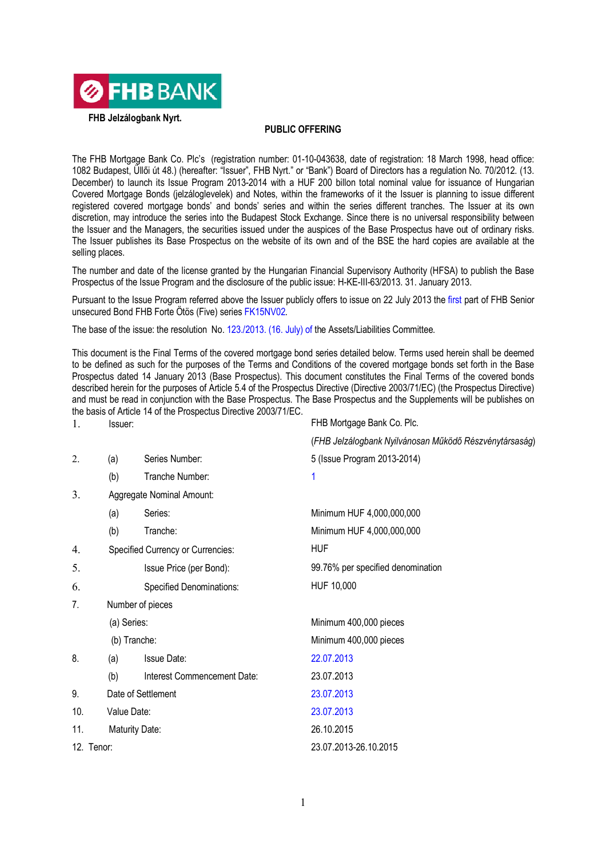

**FHB Jelzálogbank Nyrt.**

## **PUBLIC OFFERING**

The FHB Mortgage Bank Co. Plc's (registration number: 01-10-043638, date of registration: 18 March 1998, head office: 1082 Budapest, Üllői út 48.) (hereafter: "Issuer", FHB Nyrt." or "Bank") Board of Directors has a regulation No. 70/2012. (13. December) to launch its Issue Program 2013-2014 with a HUF 200 billon total nominal value for issuance of Hungarian Covered Mortgage Bonds (jelzáloglevelek) and Notes, within the frameworks of it the Issuer is planning to issue different registered covered mortgage bonds' and bonds' series and within the series different tranches. The Issuer at its own discretion, may introduce the series into the Budapest Stock Exchange. Since there is no universal responsibility between the Issuer and the Managers, the securities issued under the auspices of the Base Prospectus have out of ordinary risks. The Issuer publishes its Base Prospectus on the website of its own and of the BSE the hard copies are available at the selling places.

The number and date of the license granted by the Hungarian Financial Supervisory Authority (HFSA) to publish the Base Prospectus of the Issue Program and the disclosure of the public issue: H-KE-III-63/2013. 31. January 2013.

Pursuant to the Issue Program referred above the Issuer publicly offers to issue on 22 July 2013 the first part of FHB Senior unsecured Bond FHB Forte Ötös (Five) series FK15NV02.

The base of the issue: the resolution No. 123./2013. (16. July) of the Assets/Liabilities Committee.

This document is the Final Terms of the covered mortgage bond series detailed below. Terms used herein shall be deemed to be defined as such for the purposes of the Terms and Conditions of the covered mortgage bonds set forth in the Base Prospectus dated 14 January 2013 (Base Prospectus). This document constitutes the Final Terms of the covered bonds described herein for the purposes of Article 5.4 of the Prospectus Directive (Directive 2003/71/EC) (the Prospectus Directive) and must be read in conjunction with the Base Prospectus. The Base Prospectus and the Supplements will be publishes on the basis of Article 14 of the Prospectus Directive 2003/71/EC.

| 1.                                    | Issuer:                           |                             | FHB Mortgage Bank Co. Plc.                             |
|---------------------------------------|-----------------------------------|-----------------------------|--------------------------------------------------------|
|                                       |                                   |                             | (FHB Jelzálogbank Nyilvánosan Működő Részvénytársaság) |
| 2.                                    | (a)                               | Series Number:              | 5 (Issue Program 2013-2014)                            |
|                                       | (b)                               | Tranche Number:             | 1                                                      |
| 3.                                    | Aggregate Nominal Amount:         |                             |                                                        |
|                                       | (a)                               | Series:                     | Minimum HUF 4,000,000,000                              |
|                                       | (b)                               | Tranche:                    | Minimum HUF 4,000,000,000                              |
| 4.                                    | Specified Currency or Currencies: |                             | <b>HUF</b>                                             |
| 5.                                    |                                   | Issue Price (per Bond):     | 99.76% per specified denomination                      |
| 6.                                    |                                   | Specified Denominations:    | HUF 10,000                                             |
| 7.<br>Number of pieces<br>(a) Series: |                                   |                             |                                                        |
|                                       |                                   |                             | Minimum 400,000 pieces                                 |
|                                       | (b) Tranche:                      |                             | Minimum 400,000 pieces                                 |
| 8.                                    | (a)                               | <b>Issue Date:</b>          | 22.07.2013                                             |
|                                       | (b)                               | Interest Commencement Date: | 23.07.2013                                             |
| 9.                                    | Date of Settlement                |                             | 23.07.2013                                             |
| 10.                                   | Value Date:                       |                             | 23.07.2013                                             |
| 11.                                   | Maturity Date:                    |                             | 26.10.2015                                             |
| 12. Tenor:                            |                                   |                             | 23.07.2013-26.10.2015                                  |
|                                       |                                   |                             |                                                        |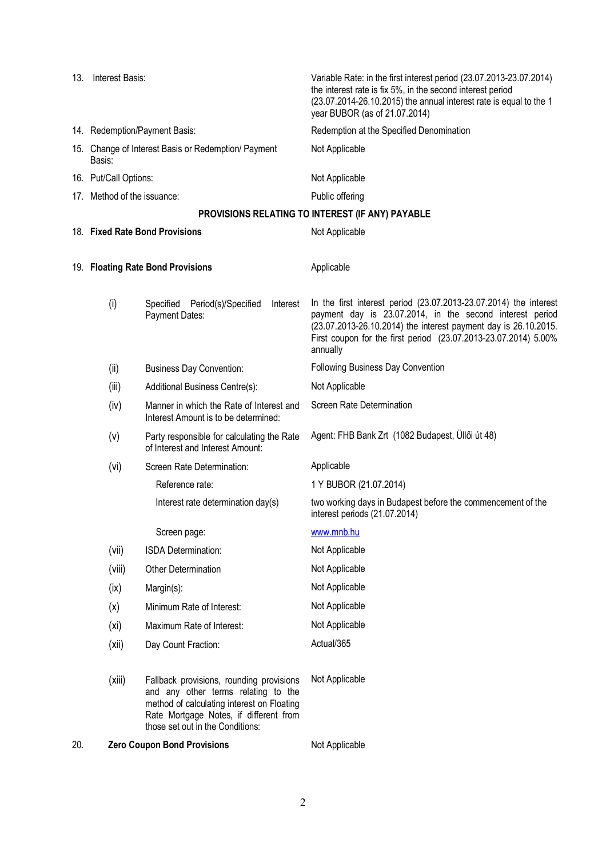| 13. | Interest Basis:                                               |                                                                                                                                                                                                             | Variable Rate: in the first interest period (23.07.2013-23.07.2014)<br>the interest rate is fix 5%, in the second interest period<br>(23.07.2014-26.10.2015) the annual interest rate is equal to the 1<br>year BUBOR (as of 21.07.2014)                                        |
|-----|---------------------------------------------------------------|-------------------------------------------------------------------------------------------------------------------------------------------------------------------------------------------------------------|---------------------------------------------------------------------------------------------------------------------------------------------------------------------------------------------------------------------------------------------------------------------------------|
|     | 14. Redemption/Payment Basis:                                 |                                                                                                                                                                                                             | Redemption at the Specified Denomination                                                                                                                                                                                                                                        |
|     | 15. Change of Interest Basis or Redemption/ Payment<br>Basis: |                                                                                                                                                                                                             | Not Applicable                                                                                                                                                                                                                                                                  |
|     | 16. Put/Call Options:                                         |                                                                                                                                                                                                             | Not Applicable                                                                                                                                                                                                                                                                  |
|     | 17. Method of the issuance:                                   |                                                                                                                                                                                                             | Public offering                                                                                                                                                                                                                                                                 |
|     |                                                               |                                                                                                                                                                                                             | PROVISIONS RELATING TO INTEREST (IF ANY) PAYABLE                                                                                                                                                                                                                                |
|     |                                                               | 18. Fixed Rate Bond Provisions                                                                                                                                                                              | Not Applicable                                                                                                                                                                                                                                                                  |
|     | 19. Floating Rate Bond Provisions                             |                                                                                                                                                                                                             | Applicable                                                                                                                                                                                                                                                                      |
|     | (i)                                                           | Specified<br>Period(s)/Specified<br>Interest<br>Payment Dates:                                                                                                                                              | In the first interest period (23.07.2013-23.07.2014) the interest<br>payment day is 23.07.2014, in the second interest period<br>(23.07.2013-26.10.2014) the interest payment day is 26.10.2015.<br>First coupon for the first period (23.07.2013-23.07.2014) 5.00%<br>annually |
|     | (ii)                                                          | <b>Business Day Convention:</b>                                                                                                                                                                             | Following Business Day Convention                                                                                                                                                                                                                                               |
|     | (iii)                                                         | Additional Business Centre(s):                                                                                                                                                                              | Not Applicable                                                                                                                                                                                                                                                                  |
|     | (iv)                                                          | Manner in which the Rate of Interest and<br>Interest Amount is to be determined:                                                                                                                            | Screen Rate Determination                                                                                                                                                                                                                                                       |
|     | (v)                                                           | Party responsible for calculating the Rate<br>of Interest and Interest Amount:                                                                                                                              | Agent: FHB Bank Zrt (1082 Budapest, Üllői út 48)                                                                                                                                                                                                                                |
|     | (vi)                                                          | Screen Rate Determination:                                                                                                                                                                                  | Applicable                                                                                                                                                                                                                                                                      |
|     |                                                               | Reference rate:                                                                                                                                                                                             | 1 Y BUBOR (21.07.2014)                                                                                                                                                                                                                                                          |
|     |                                                               | Interest rate determination day(s)                                                                                                                                                                          | two working days in Budapest before the commencement of the<br>interest periods (21.07.2014)                                                                                                                                                                                    |
|     |                                                               | Screen page:                                                                                                                                                                                                | www.mnb.hu                                                                                                                                                                                                                                                                      |
|     | (vii)                                                         | ISDA Determination:                                                                                                                                                                                         | Not Applicable                                                                                                                                                                                                                                                                  |
|     | (viii)                                                        | Other Determination                                                                                                                                                                                         | Not Applicable                                                                                                                                                                                                                                                                  |
|     | (ix)                                                          | Margin(s):                                                                                                                                                                                                  | Not Applicable                                                                                                                                                                                                                                                                  |
|     | (x)                                                           | Minimum Rate of Interest:                                                                                                                                                                                   | Not Applicable                                                                                                                                                                                                                                                                  |
|     | (x <sub>i</sub> )                                             | Maximum Rate of Interest:                                                                                                                                                                                   | Not Applicable                                                                                                                                                                                                                                                                  |
|     | (xii)                                                         | Day Count Fraction:                                                                                                                                                                                         | Actual/365                                                                                                                                                                                                                                                                      |
|     | (xiii)                                                        | Fallback provisions, rounding provisions<br>and any other terms relating to the<br>method of calculating interest on Floating<br>Rate Mortgage Notes, if different from<br>those set out in the Conditions: | Not Applicable                                                                                                                                                                                                                                                                  |
| 20. | <b>Zero Coupon Bond Provisions</b>                            |                                                                                                                                                                                                             | Not Applicable                                                                                                                                                                                                                                                                  |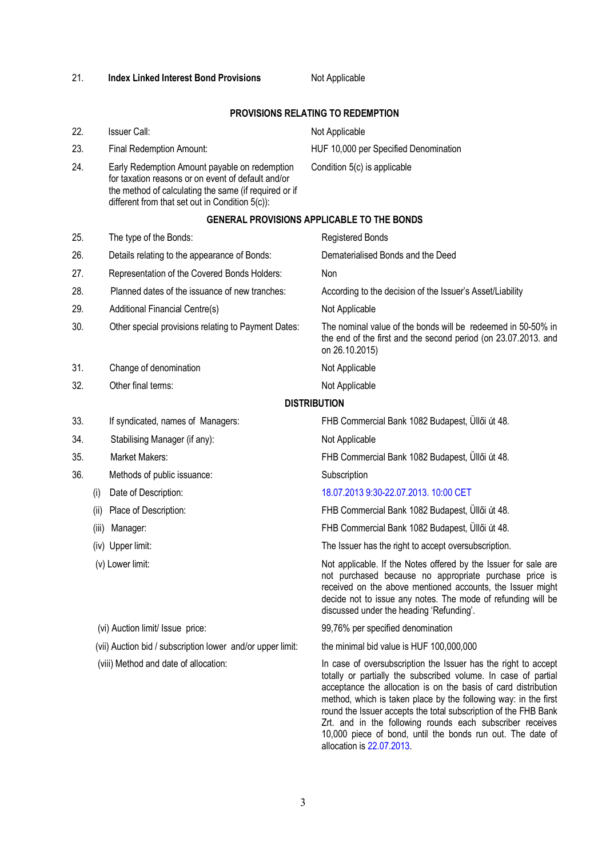allocation is 22.07.2013.

round the Issuer accepts the total subscription of the FHB Bank Zrt. and in the following rounds each subscriber receives 10,000 piece of bond, until the bonds run out. The date of

## 21. **Index Linked Interest Bond Provisions** Not Applicable

## **PROVISIONS RELATING TO REDEMPTION**

| 23. |                                                                                                                                                                                                                 | Final Redemption Amount:                                   | HUF 10,000 per Specified Denomination                                                                                                                                                                                                                                                               |  |  |  |  |
|-----|-----------------------------------------------------------------------------------------------------------------------------------------------------------------------------------------------------------------|------------------------------------------------------------|-----------------------------------------------------------------------------------------------------------------------------------------------------------------------------------------------------------------------------------------------------------------------------------------------------|--|--|--|--|
| 24. | Early Redemption Amount payable on redemption<br>for taxation reasons or on event of default and/or<br>the method of calculating the same (if required or if<br>different from that set out in Condition 5(c)): |                                                            | Condition 5(c) is applicable                                                                                                                                                                                                                                                                        |  |  |  |  |
|     | <b>GENERAL PROVISIONS APPLICABLE TO THE BONDS</b>                                                                                                                                                               |                                                            |                                                                                                                                                                                                                                                                                                     |  |  |  |  |
| 25. |                                                                                                                                                                                                                 | The type of the Bonds:                                     | <b>Registered Bonds</b>                                                                                                                                                                                                                                                                             |  |  |  |  |
| 26. |                                                                                                                                                                                                                 | Details relating to the appearance of Bonds:               | Dematerialised Bonds and the Deed                                                                                                                                                                                                                                                                   |  |  |  |  |
| 27. |                                                                                                                                                                                                                 | Representation of the Covered Bonds Holders:               | Non                                                                                                                                                                                                                                                                                                 |  |  |  |  |
| 28. |                                                                                                                                                                                                                 | Planned dates of the issuance of new tranches:             | According to the decision of the Issuer's Asset/Liability                                                                                                                                                                                                                                           |  |  |  |  |
| 29. |                                                                                                                                                                                                                 | Additional Financial Centre(s)                             | Not Applicable                                                                                                                                                                                                                                                                                      |  |  |  |  |
| 30. |                                                                                                                                                                                                                 | Other special provisions relating to Payment Dates:        | The nominal value of the bonds will be redeemed in 50-50% in<br>the end of the first and the second period (on 23.07.2013. and<br>on 26.10.2015)                                                                                                                                                    |  |  |  |  |
| 31. |                                                                                                                                                                                                                 | Change of denomination                                     | Not Applicable                                                                                                                                                                                                                                                                                      |  |  |  |  |
| 32. |                                                                                                                                                                                                                 | Other final terms:                                         | Not Applicable                                                                                                                                                                                                                                                                                      |  |  |  |  |
|     |                                                                                                                                                                                                                 |                                                            | <b>DISTRIBUTION</b>                                                                                                                                                                                                                                                                                 |  |  |  |  |
| 33. |                                                                                                                                                                                                                 | If syndicated, names of Managers:                          | FHB Commercial Bank 1082 Budapest, Üllői út 48.                                                                                                                                                                                                                                                     |  |  |  |  |
| 34. |                                                                                                                                                                                                                 | Stabilising Manager (if any):                              | Not Applicable                                                                                                                                                                                                                                                                                      |  |  |  |  |
| 35. |                                                                                                                                                                                                                 | Market Makers:                                             | FHB Commercial Bank 1082 Budapest, Üllői út 48.                                                                                                                                                                                                                                                     |  |  |  |  |
| 36. |                                                                                                                                                                                                                 | Methods of public issuance:                                | Subscription                                                                                                                                                                                                                                                                                        |  |  |  |  |
|     | (i)                                                                                                                                                                                                             | Date of Description:                                       | 18.07.2013 9:30-22.07.2013. 10:00 CET                                                                                                                                                                                                                                                               |  |  |  |  |
|     | (ii)                                                                                                                                                                                                            | Place of Description:                                      | FHB Commercial Bank 1082 Budapest, Üllői út 48.                                                                                                                                                                                                                                                     |  |  |  |  |
|     | (iii)                                                                                                                                                                                                           | Manager:                                                   | FHB Commercial Bank 1082 Budapest, Üllői út 48.                                                                                                                                                                                                                                                     |  |  |  |  |
|     |                                                                                                                                                                                                                 | (iv) Upper limit:                                          | The Issuer has the right to accept oversubscription.                                                                                                                                                                                                                                                |  |  |  |  |
|     |                                                                                                                                                                                                                 | (v) Lower limit:                                           | Not applicable. If the Notes offered by the Issuer for sale are<br>not purchased because no appropriate purchase price is<br>received on the above mentioned accounts, the Issuer might<br>decide not to issue any notes. The mode of refunding will be<br>discussed under the heading 'Refunding'. |  |  |  |  |
|     |                                                                                                                                                                                                                 | (vi) Auction limit/ Issue price:                           | 99,76% per specified denomination                                                                                                                                                                                                                                                                   |  |  |  |  |
|     |                                                                                                                                                                                                                 | (vii) Auction bid / subscription lower and/or upper limit: | the minimal bid value is HUF 100,000,000                                                                                                                                                                                                                                                            |  |  |  |  |
|     |                                                                                                                                                                                                                 | (viii) Method and date of allocation:                      | In case of oversubscription the Issuer has the right to accept<br>totally or partially the subscribed volume. In case of partial<br>acceptance the allocation is on the basis of card distribution<br>method, which is taken place by the following way: in the first                               |  |  |  |  |

- 
- 22. Issuer Call:  $\blacksquare$  Not Applicable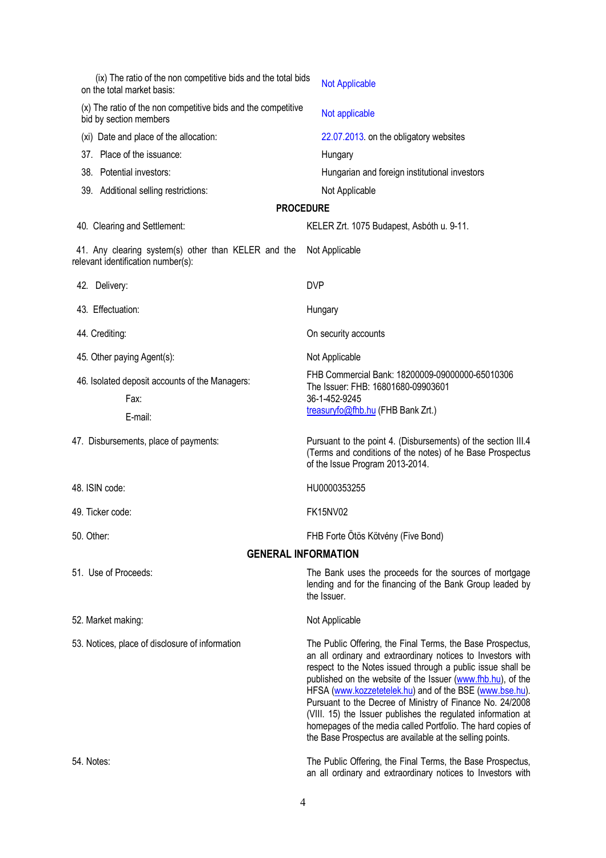| (ix) The ratio of the non competitive bids and the total bids<br>on the total market basis: | <b>Not Applicable</b>                                                                                                                                                                                                                                                                                                                                                                                                                                                                                                                                                      |  |  |  |  |  |  |
|---------------------------------------------------------------------------------------------|----------------------------------------------------------------------------------------------------------------------------------------------------------------------------------------------------------------------------------------------------------------------------------------------------------------------------------------------------------------------------------------------------------------------------------------------------------------------------------------------------------------------------------------------------------------------------|--|--|--|--|--|--|
| (x) The ratio of the non competitive bids and the competitive<br>bid by section members     | Not applicable                                                                                                                                                                                                                                                                                                                                                                                                                                                                                                                                                             |  |  |  |  |  |  |
| (xi) Date and place of the allocation:                                                      | 22.07.2013. on the obligatory websites                                                                                                                                                                                                                                                                                                                                                                                                                                                                                                                                     |  |  |  |  |  |  |
| 37. Place of the issuance:                                                                  | Hungary                                                                                                                                                                                                                                                                                                                                                                                                                                                                                                                                                                    |  |  |  |  |  |  |
| 38. Potential investors:                                                                    | Hungarian and foreign institutional investors                                                                                                                                                                                                                                                                                                                                                                                                                                                                                                                              |  |  |  |  |  |  |
| 39. Additional selling restrictions:                                                        | Not Applicable                                                                                                                                                                                                                                                                                                                                                                                                                                                                                                                                                             |  |  |  |  |  |  |
| <b>PROCEDURE</b>                                                                            |                                                                                                                                                                                                                                                                                                                                                                                                                                                                                                                                                                            |  |  |  |  |  |  |
| 40. Clearing and Settlement:                                                                | KELER Zrt. 1075 Budapest, Asbóth u. 9-11.                                                                                                                                                                                                                                                                                                                                                                                                                                                                                                                                  |  |  |  |  |  |  |
| 41. Any clearing system(s) other than KELER and the<br>relevant identification number(s):   | Not Applicable                                                                                                                                                                                                                                                                                                                                                                                                                                                                                                                                                             |  |  |  |  |  |  |
| 42. Delivery:                                                                               | <b>DVP</b>                                                                                                                                                                                                                                                                                                                                                                                                                                                                                                                                                                 |  |  |  |  |  |  |
| 43. Effectuation:                                                                           | Hungary                                                                                                                                                                                                                                                                                                                                                                                                                                                                                                                                                                    |  |  |  |  |  |  |
| 44. Crediting:                                                                              | On security accounts                                                                                                                                                                                                                                                                                                                                                                                                                                                                                                                                                       |  |  |  |  |  |  |
| 45. Other paying Agent(s):                                                                  | Not Applicable                                                                                                                                                                                                                                                                                                                                                                                                                                                                                                                                                             |  |  |  |  |  |  |
| 46. Isolated deposit accounts of the Managers:<br>Fax:<br>E-mail:                           | FHB Commercial Bank: 18200009-09000000-65010306<br>The Issuer: FHB: 16801680-09903601<br>36-1-452-9245<br>treasuryfo@fhb.hu (FHB Bank Zrt.)                                                                                                                                                                                                                                                                                                                                                                                                                                |  |  |  |  |  |  |
| 47. Disbursements, place of payments:                                                       | Pursuant to the point 4. (Disbursements) of the section III.4<br>(Terms and conditions of the notes) of he Base Prospectus<br>of the Issue Program 2013-2014.                                                                                                                                                                                                                                                                                                                                                                                                              |  |  |  |  |  |  |
| 48. ISIN code:                                                                              | HU0000353255                                                                                                                                                                                                                                                                                                                                                                                                                                                                                                                                                               |  |  |  |  |  |  |
| 49. Ticker code:                                                                            | <b>FK15NV02</b>                                                                                                                                                                                                                                                                                                                                                                                                                                                                                                                                                            |  |  |  |  |  |  |
| 50. Other:                                                                                  | FHB Forte Ötös Kötvény (Five Bond)                                                                                                                                                                                                                                                                                                                                                                                                                                                                                                                                         |  |  |  |  |  |  |
|                                                                                             | <b>GENERAL INFORMATION</b>                                                                                                                                                                                                                                                                                                                                                                                                                                                                                                                                                 |  |  |  |  |  |  |
| 51. Use of Proceeds:                                                                        | The Bank uses the proceeds for the sources of mortgage<br>lending and for the financing of the Bank Group leaded by<br>the Issuer.                                                                                                                                                                                                                                                                                                                                                                                                                                         |  |  |  |  |  |  |
| 52. Market making:                                                                          | Not Applicable                                                                                                                                                                                                                                                                                                                                                                                                                                                                                                                                                             |  |  |  |  |  |  |
| 53. Notices, place of disclosure of information                                             | The Public Offering, the Final Terms, the Base Prospectus,<br>an all ordinary and extraordinary notices to Investors with<br>respect to the Notes issued through a public issue shall be<br>published on the website of the Issuer (www.fhb.hu), of the<br>HFSA (www.kozzetetelek.hu) and of the BSE (www.bse.hu).<br>Pursuant to the Decree of Ministry of Finance No. 24/2008<br>(VIII. 15) the Issuer publishes the regulated information at<br>homepages of the media called Portfolio. The hard copies of<br>the Base Prospectus are available at the selling points. |  |  |  |  |  |  |
| 54. Notes:                                                                                  | The Public Offering, the Final Terms, the Base Prospectus,<br>an all ordinary and extraordinary notices to Investors with                                                                                                                                                                                                                                                                                                                                                                                                                                                  |  |  |  |  |  |  |